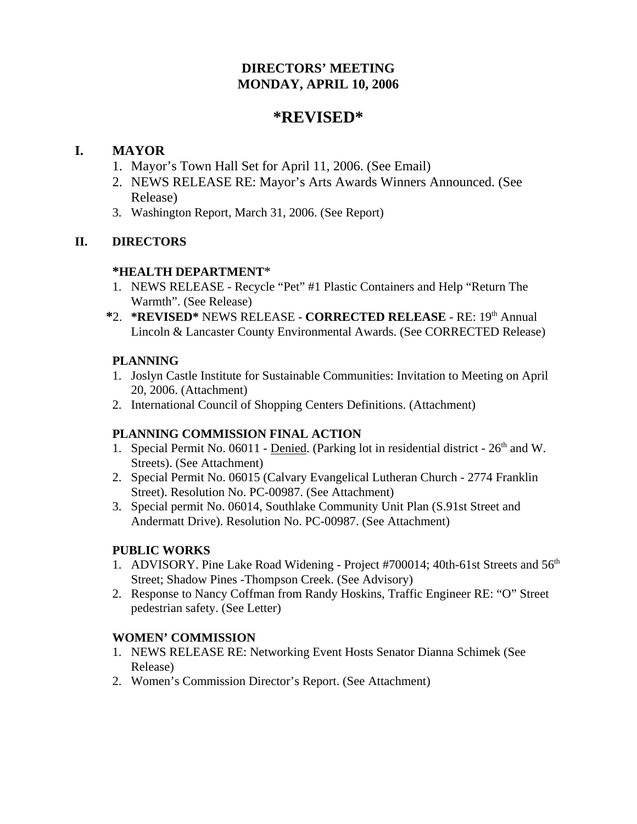# **DIRECTORS' MEETING MONDAY, APRIL 10, 2006**

# **\*REVISED\***

## **I. MAYOR**

- 1. Mayor's Town Hall Set for April 11, 2006. (See Email)
- 2. NEWS RELEASE RE: Mayor's Arts Awards Winners Announced. (See Release)
- 3. Washington Report, March 31, 2006. (See Report)

## **II. DIRECTORS**

## **\*HEALTH DEPARTMENT**\*

- 1. NEWS RELEASE Recycle "Pet" #1 Plastic Containers and Help "Return The Warmth". (See Release)
- **\***2. **\*REVISED\*** NEWS RELEASE **CORRECTED RELEASE**  RE: 19th Annual Lincoln & Lancaster County Environmental Awards. (See CORRECTED Release)

## **PLANNING**

- 1. Joslyn Castle Institute for Sustainable Communities: Invitation to Meeting on April 20, 2006. (Attachment)
- 2. International Council of Shopping Centers Definitions. (Attachment)

## **PLANNING COMMISSION FINAL ACTION**

- 1. Special Permit No. 06011 Denied. (Parking lot in residential district  $26<sup>th</sup>$  and W. Streets). (See Attachment)
- 2. Special Permit No. 06015 (Calvary Evangelical Lutheran Church 2774 Franklin Street). Resolution No. PC-00987. (See Attachment)
- 3. Special permit No. 06014, Southlake Community Unit Plan (S.91st Street and Andermatt Drive). Resolution No. PC-00987. (See Attachment)

## **PUBLIC WORKS**

- 1. ADVISORY. Pine Lake Road Widening Project #700014; 40th-61st Streets and 56<sup>th</sup> Street; Shadow Pines -Thompson Creek. (See Advisory)
- 2. Response to Nancy Coffman from Randy Hoskins, Traffic Engineer RE: "O" Street pedestrian safety. (See Letter)

## **WOMEN' COMMISSION**

- 1. NEWS RELEASE RE: Networking Event Hosts Senator Dianna Schimek (See Release)
- 2. Women's Commission Director's Report. (See Attachment)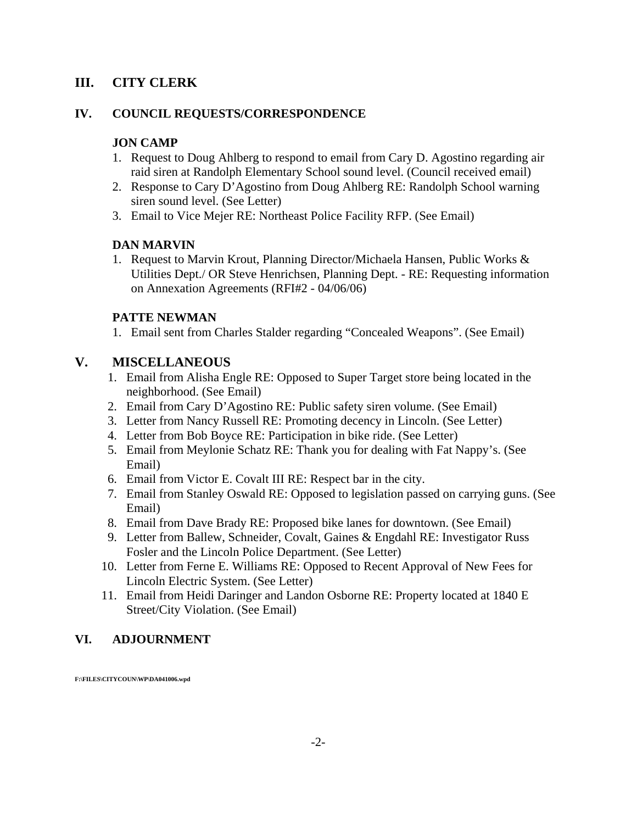## **III. CITY CLERK**

#### **IV. COUNCIL REQUESTS/CORRESPONDENCE**

### **JON CAMP**

- 1. Request to Doug Ahlberg to respond to email from Cary D. Agostino regarding air raid siren at Randolph Elementary School sound level. (Council received email)
- 2. Response to Cary D'Agostino from Doug Ahlberg RE: Randolph School warning siren sound level. (See Letter)
- 3. Email to Vice Mejer RE: Northeast Police Facility RFP. (See Email)

#### **DAN MARVIN**

1. Request to Marvin Krout, Planning Director/Michaela Hansen, Public Works & Utilities Dept./ OR Steve Henrichsen, Planning Dept. - RE: Requesting information on Annexation Agreements (RFI#2 - 04/06/06)

### **PATTE NEWMAN**

1. Email sent from Charles Stalder regarding "Concealed Weapons". (See Email)

### **V. MISCELLANEOUS**

- 1. Email from Alisha Engle RE: Opposed to Super Target store being located in the neighborhood. (See Email)
- 2. Email from Cary D'Agostino RE: Public safety siren volume. (See Email)
- 3. Letter from Nancy Russell RE: Promoting decency in Lincoln. (See Letter)
- 4. Letter from Bob Boyce RE: Participation in bike ride. (See Letter)
- 5. Email from Meylonie Schatz RE: Thank you for dealing with Fat Nappy's. (See Email)
- 6. Email from Victor E. Covalt III RE: Respect bar in the city.
- 7. Email from Stanley Oswald RE: Opposed to legislation passed on carrying guns. (See Email)
- 8. Email from Dave Brady RE: Proposed bike lanes for downtown. (See Email)
- 9. Letter from Ballew, Schneider, Covalt, Gaines & Engdahl RE: Investigator Russ Fosler and the Lincoln Police Department. (See Letter)
- 10. Letter from Ferne E. Williams RE: Opposed to Recent Approval of New Fees for Lincoln Electric System. (See Letter)
- 11. Email from Heidi Daringer and Landon Osborne RE: Property located at 1840 E Street/City Violation. (See Email)

### **VI. ADJOURNMENT**

**F:\FILES\CITYCOUN\WP\DA041006.wpd**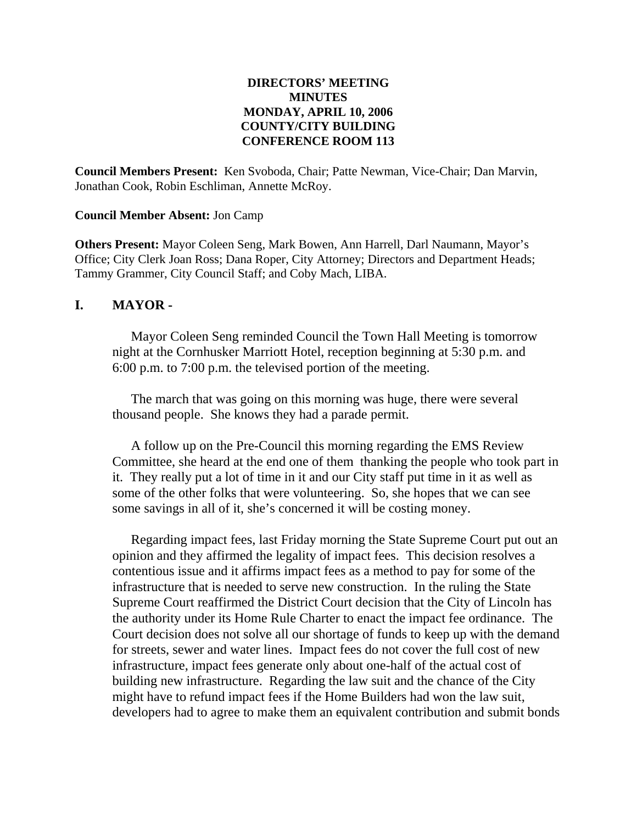### **DIRECTORS' MEETING MINUTES MONDAY, APRIL 10, 2006 COUNTY/CITY BUILDING CONFERENCE ROOM 113**

**Council Members Present:** Ken Svoboda, Chair; Patte Newman, Vice-Chair; Dan Marvin, Jonathan Cook, Robin Eschliman, Annette McRoy.

#### **Council Member Absent:** Jon Camp

**Others Present:** Mayor Coleen Seng, Mark Bowen, Ann Harrell, Darl Naumann, Mayor's Office; City Clerk Joan Ross; Dana Roper, City Attorney; Directors and Department Heads; Tammy Grammer, City Council Staff; and Coby Mach, LIBA.

#### **I. MAYOR -**

Mayor Coleen Seng reminded Council the Town Hall Meeting is tomorrow night at the Cornhusker Marriott Hotel, reception beginning at 5:30 p.m. and 6:00 p.m. to 7:00 p.m. the televised portion of the meeting.

The march that was going on this morning was huge, there were several thousand people. She knows they had a parade permit.

A follow up on the Pre-Council this morning regarding the EMS Review Committee, she heard at the end one of them thanking the people who took part in it. They really put a lot of time in it and our City staff put time in it as well as some of the other folks that were volunteering. So, she hopes that we can see some savings in all of it, she's concerned it will be costing money.

Regarding impact fees, last Friday morning the State Supreme Court put out an opinion and they affirmed the legality of impact fees. This decision resolves a contentious issue and it affirms impact fees as a method to pay for some of the infrastructure that is needed to serve new construction. In the ruling the State Supreme Court reaffirmed the District Court decision that the City of Lincoln has the authority under its Home Rule Charter to enact the impact fee ordinance. The Court decision does not solve all our shortage of funds to keep up with the demand for streets, sewer and water lines. Impact fees do not cover the full cost of new infrastructure, impact fees generate only about one-half of the actual cost of building new infrastructure. Regarding the law suit and the chance of the City might have to refund impact fees if the Home Builders had won the law suit, developers had to agree to make them an equivalent contribution and submit bonds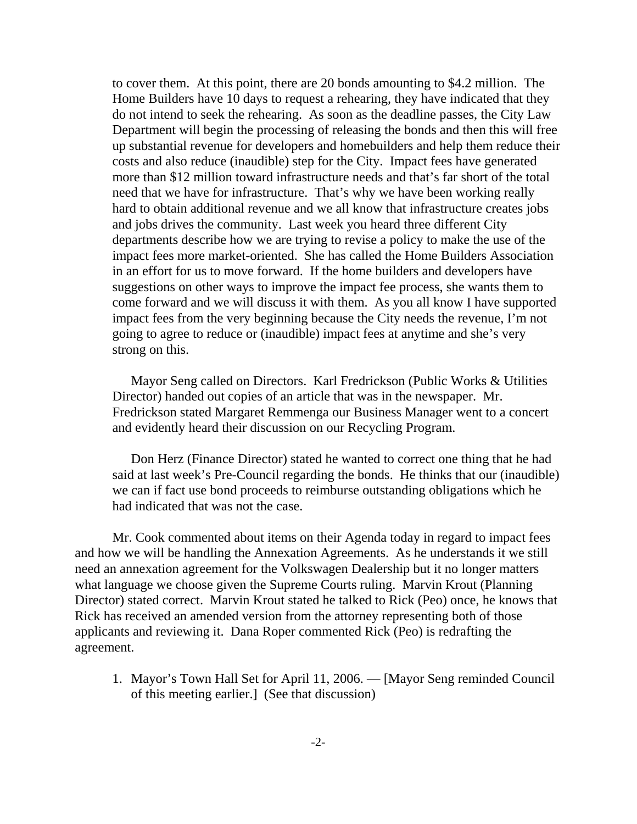to cover them. At this point, there are 20 bonds amounting to \$4.2 million. The Home Builders have 10 days to request a rehearing, they have indicated that they do not intend to seek the rehearing. As soon as the deadline passes, the City Law Department will begin the processing of releasing the bonds and then this will free up substantial revenue for developers and homebuilders and help them reduce their costs and also reduce (inaudible) step for the City. Impact fees have generated more than \$12 million toward infrastructure needs and that's far short of the total need that we have for infrastructure. That's why we have been working really hard to obtain additional revenue and we all know that infrastructure creates jobs and jobs drives the community. Last week you heard three different City departments describe how we are trying to revise a policy to make the use of the impact fees more market-oriented. She has called the Home Builders Association in an effort for us to move forward. If the home builders and developers have suggestions on other ways to improve the impact fee process, she wants them to come forward and we will discuss it with them. As you all know I have supported impact fees from the very beginning because the City needs the revenue, I'm not going to agree to reduce or (inaudible) impact fees at anytime and she's very strong on this.

Mayor Seng called on Directors. Karl Fredrickson (Public Works & Utilities Director) handed out copies of an article that was in the newspaper. Mr. Fredrickson stated Margaret Remmenga our Business Manager went to a concert and evidently heard their discussion on our Recycling Program.

Don Herz (Finance Director) stated he wanted to correct one thing that he had said at last week's Pre-Council regarding the bonds. He thinks that our (inaudible) we can if fact use bond proceeds to reimburse outstanding obligations which he had indicated that was not the case.

Mr. Cook commented about items on their Agenda today in regard to impact fees and how we will be handling the Annexation Agreements. As he understands it we still need an annexation agreement for the Volkswagen Dealership but it no longer matters what language we choose given the Supreme Courts ruling. Marvin Krout (Planning Director) stated correct. Marvin Krout stated he talked to Rick (Peo) once, he knows that Rick has received an amended version from the attorney representing both of those applicants and reviewing it. Dana Roper commented Rick (Peo) is redrafting the agreement.

1. Mayor's Town Hall Set for April 11, 2006. — [Mayor Seng reminded Council of this meeting earlier.] (See that discussion)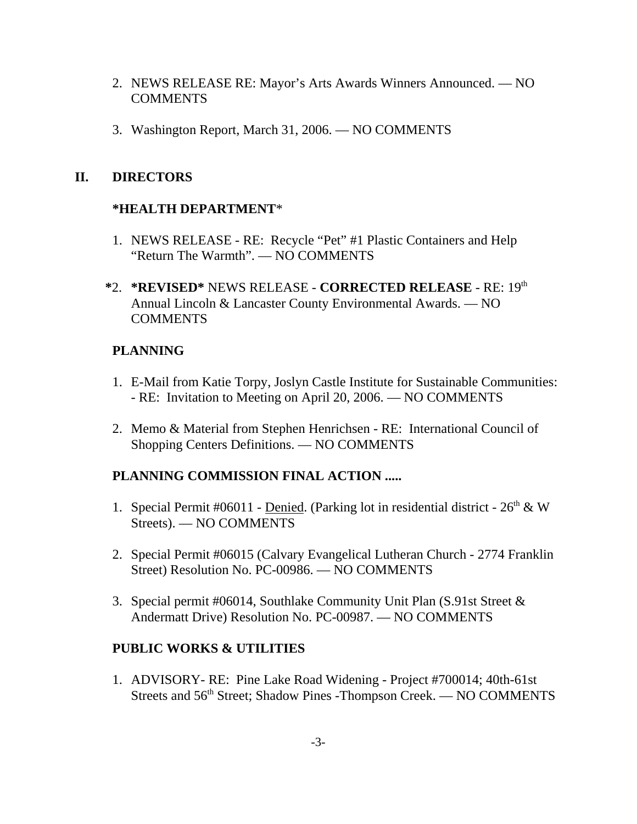- 2. NEWS RELEASE RE: Mayor's Arts Awards Winners Announced. NO **COMMENTS**
- 3. Washington Report, March 31, 2006. NO COMMENTS

## **II. DIRECTORS**

## **\*HEALTH DEPARTMENT**\*

- 1. NEWS RELEASE RE: Recycle "Pet" #1 Plastic Containers and Help "Return The Warmth". — NO COMMENTS
- **\***2. **\*REVISED\*** NEWS RELEASE **CORRECTED RELEASE**  RE: 19th Annual Lincoln & Lancaster County Environmental Awards. — NO **COMMENTS**

## **PLANNING**

- 1. E-Mail from Katie Torpy, Joslyn Castle Institute for Sustainable Communities: - RE: Invitation to Meeting on April 20, 2006. — NO COMMENTS
- 2. Memo & Material from Stephen Henrichsen RE: International Council of Shopping Centers Definitions. — NO COMMENTS

# **PLANNING COMMISSION FINAL ACTION .....**

- 1. Special Permit #06011 <u>Denied</u>. (Parking lot in residential district  $26<sup>th</sup>$  & W Streets). — NO COMMENTS
- 2. Special Permit #06015 (Calvary Evangelical Lutheran Church 2774 Franklin Street) Resolution No. PC-00986. — NO COMMENTS
- 3. Special permit #06014, Southlake Community Unit Plan (S.91st Street & Andermatt Drive) Resolution No. PC-00987. — NO COMMENTS

# **PUBLIC WORKS & UTILITIES**

1. ADVISORY- RE: Pine Lake Road Widening - Project #700014; 40th-61st Streets and 56<sup>th</sup> Street; Shadow Pines -Thompson Creek. — NO COMMENTS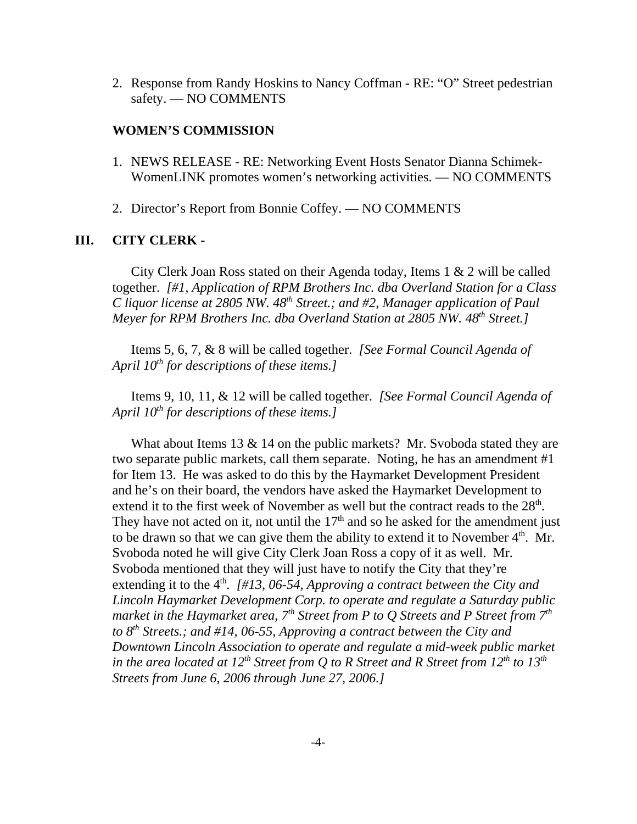2. Response from Randy Hoskins to Nancy Coffman - RE: "O" Street pedestrian safety. — NO COMMENTS

#### **WOMEN'S COMMISSION**

- 1. NEWS RELEASE RE: Networking Event Hosts Senator Dianna Schimek-WomenLINK promotes women's networking activities. — NO COMMENTS
- 2. Director's Report from Bonnie Coffey. NO COMMENTS

### **III. CITY CLERK -**

City Clerk Joan Ross stated on their Agenda today, Items 1 & 2 will be called together. *[#1, Application of RPM Brothers Inc. dba Overland Station for a Class C* liquor license at 2805 NW. 48<sup>th</sup> Street.; and #2, Manager application of Paul *Meyer for RPM Brothers Inc. dba Overland Station at 2805 NW. 48th Street.]* 

Items 5, 6, 7, & 8 will be called together. *[See Formal Council Agenda of April 10th for descriptions of these items.]* 

Items 9, 10, 11, & 12 will be called together. *[See Formal Council Agenda of April 10th for descriptions of these items.]* 

What about Items 13 & 14 on the public markets? Mr. Svoboda stated they are two separate public markets, call them separate. Noting, he has an amendment #1 for Item 13. He was asked to do this by the Haymarket Development President and he's on their board, the vendors have asked the Haymarket Development to extend it to the first week of November as well but the contract reads to the  $28<sup>th</sup>$ . They have not acted on it, not until the  $17<sup>th</sup>$  and so he asked for the amendment just to be drawn so that we can give them the ability to extend it to November  $4<sup>th</sup>$ . Mr. Svoboda noted he will give City Clerk Joan Ross a copy of it as well. Mr. Svoboda mentioned that they will just have to notify the City that they're extending it to the 4<sup>th</sup>. [#13, 06-54, Approving a contract between the City and *Lincoln Haymarket Development Corp. to operate and regulate a Saturday public market in the Haymarket area,*  $7<sup>th</sup>$  Street from P to Q Streets and P Street from  $7<sup>th</sup>$ *to 8th Streets.; and #14, 06-55, Approving a contract between the City and Downtown Lincoln Association to operate and regulate a mid-week public market in the area located at 12<sup>th</sup> Street from Q to R Street and R Street from 12<sup>th</sup> to 13<sup>th</sup> Streets from June 6, 2006 through June 27, 2006.]*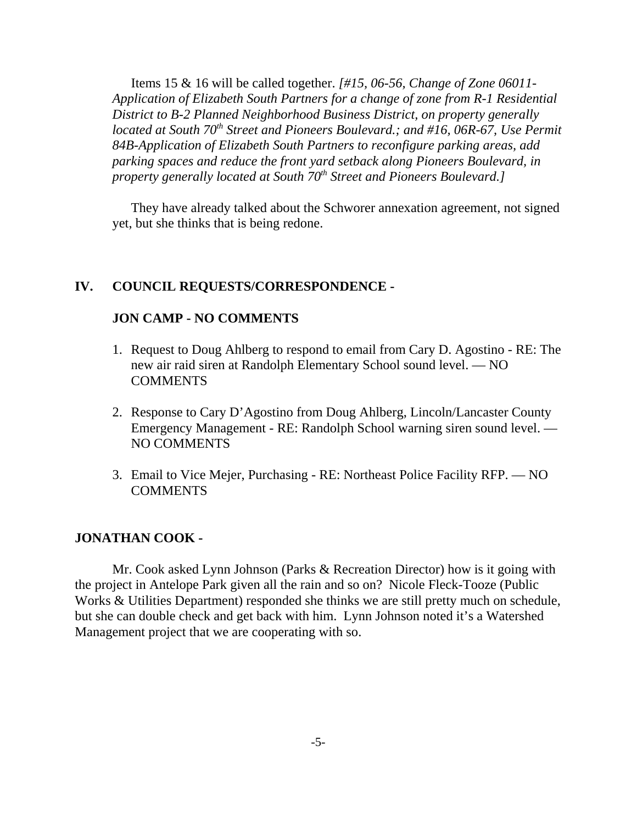Items 15 & 16 will be called together. *[#15, 06-56, Change of Zone 06011- Application of Elizabeth South Partners for a change of zone from R-1 Residential District to B-2 Planned Neighborhood Business District, on property generally located at South 70<sup>th</sup> Street and Pioneers Boulevard.; and #16, 06R-67, Use Permit 84B-Application of Elizabeth South Partners to reconfigure parking areas, add parking spaces and reduce the front yard setback along Pioneers Boulevard, in property generally located at South 70<sup>th</sup> Street and Pioneers Boulevard.]* 

They have already talked about the Schworer annexation agreement, not signed yet, but she thinks that is being redone.

#### **IV. COUNCIL REQUESTS/CORRESPONDENCE -**

#### **JON CAMP - NO COMMENTS**

- 1. Request to Doug Ahlberg to respond to email from Cary D. Agostino RE: The new air raid siren at Randolph Elementary School sound level. — NO **COMMENTS**
- 2. Response to Cary D'Agostino from Doug Ahlberg, Lincoln/Lancaster County Emergency Management - RE: Randolph School warning siren sound level. — NO COMMENTS
- 3. Email to Vice Mejer, Purchasing RE: Northeast Police Facility RFP. NO **COMMENTS**

#### **JONATHAN COOK -**

Mr. Cook asked Lynn Johnson (Parks & Recreation Director) how is it going with the project in Antelope Park given all the rain and so on? Nicole Fleck-Tooze (Public Works & Utilities Department) responded she thinks we are still pretty much on schedule, but she can double check and get back with him. Lynn Johnson noted it's a Watershed Management project that we are cooperating with so.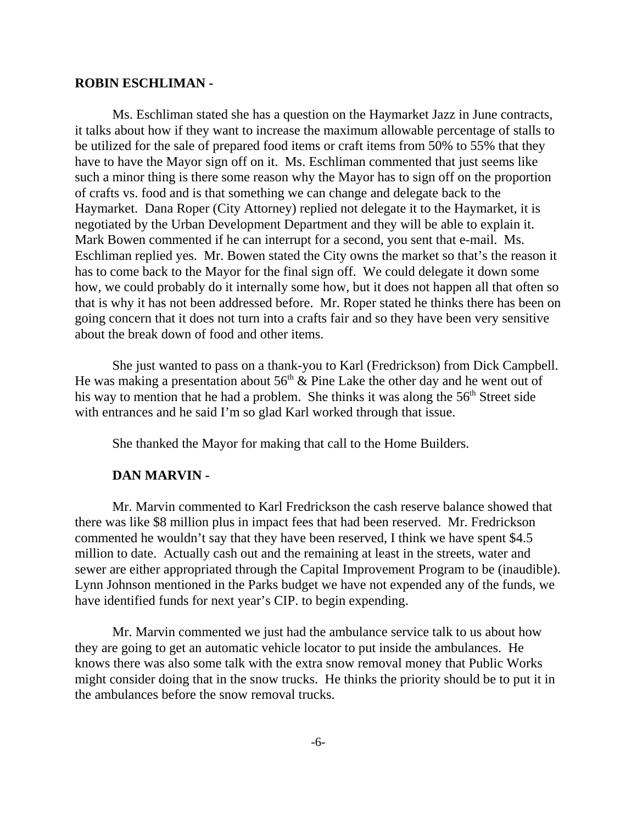#### **ROBIN ESCHLIMAN -**

Ms. Eschliman stated she has a question on the Haymarket Jazz in June contracts, it talks about how if they want to increase the maximum allowable percentage of stalls to be utilized for the sale of prepared food items or craft items from 50% to 55% that they have to have the Mayor sign off on it. Ms. Eschliman commented that just seems like such a minor thing is there some reason why the Mayor has to sign off on the proportion of crafts vs. food and is that something we can change and delegate back to the Haymarket. Dana Roper (City Attorney) replied not delegate it to the Haymarket, it is negotiated by the Urban Development Department and they will be able to explain it. Mark Bowen commented if he can interrupt for a second, you sent that e-mail. Ms. Eschliman replied yes. Mr. Bowen stated the City owns the market so that's the reason it has to come back to the Mayor for the final sign off. We could delegate it down some how, we could probably do it internally some how, but it does not happen all that often so that is why it has not been addressed before. Mr. Roper stated he thinks there has been on going concern that it does not turn into a crafts fair and so they have been very sensitive about the break down of food and other items.

She just wanted to pass on a thank-you to Karl (Fredrickson) from Dick Campbell. He was making a presentation about  $56<sup>th</sup>$  & Pine Lake the other day and he went out of his way to mention that he had a problem. She thinks it was along the  $56<sup>th</sup>$  Street side with entrances and he said I'm so glad Karl worked through that issue.

She thanked the Mayor for making that call to the Home Builders.

#### **DAN MARVIN -**

Mr. Marvin commented to Karl Fredrickson the cash reserve balance showed that there was like \$8 million plus in impact fees that had been reserved. Mr. Fredrickson commented he wouldn't say that they have been reserved, I think we have spent \$4.5 million to date. Actually cash out and the remaining at least in the streets, water and sewer are either appropriated through the Capital Improvement Program to be (inaudible). Lynn Johnson mentioned in the Parks budget we have not expended any of the funds, we have identified funds for next year's CIP. to begin expending.

Mr. Marvin commented we just had the ambulance service talk to us about how they are going to get an automatic vehicle locator to put inside the ambulances. He knows there was also some talk with the extra snow removal money that Public Works might consider doing that in the snow trucks. He thinks the priority should be to put it in the ambulances before the snow removal trucks.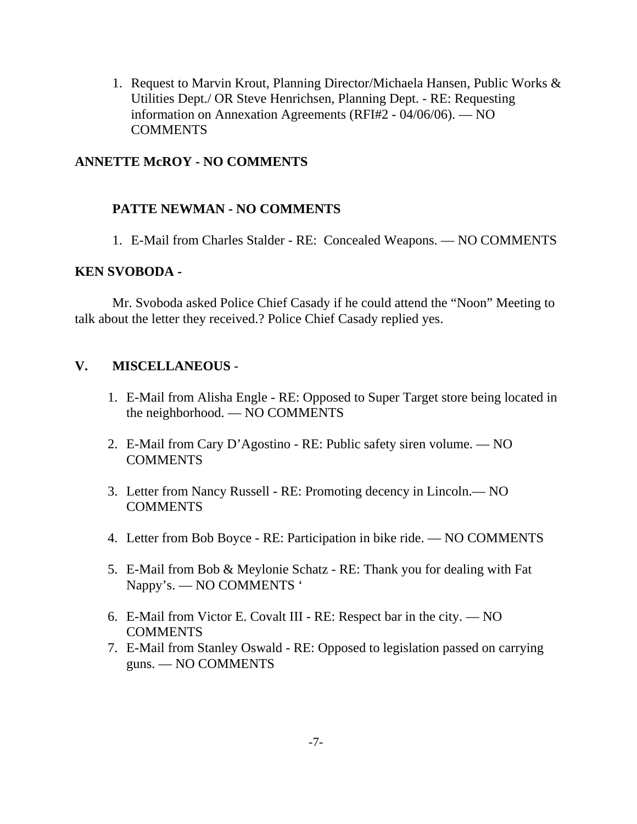1. Request to Marvin Krout, Planning Director/Michaela Hansen, Public Works & Utilities Dept./ OR Steve Henrichsen, Planning Dept. - RE: Requesting information on Annexation Agreements (RFI#2 - 04/06/06). — NO **COMMENTS** 

## **ANNETTE McROY - NO COMMENTS**

## **PATTE NEWMAN - NO COMMENTS**

1. E-Mail from Charles Stalder - RE: Concealed Weapons. — NO COMMENTS

### **KEN SVOBODA -**

Mr. Svoboda asked Police Chief Casady if he could attend the "Noon" Meeting to talk about the letter they received.? Police Chief Casady replied yes.

## **V. MISCELLANEOUS** -

- 1. E-Mail from Alisha Engle RE: Opposed to Super Target store being located in the neighborhood. — NO COMMENTS
- 2. E-Mail from Cary D'Agostino RE: Public safety siren volume. NO **COMMENTS**
- 3. Letter from Nancy Russell RE: Promoting decency in Lincoln.— NO COMMENTS
- 4. Letter from Bob Boyce RE: Participation in bike ride. NO COMMENTS
- 5. E-Mail from Bob & Meylonie Schatz RE: Thank you for dealing with Fat Nappy's. — NO COMMENTS '
- 6. E-Mail from Victor E. Covalt III RE: Respect bar in the city. NO **COMMENTS**
- 7. E-Mail from Stanley Oswald RE: Opposed to legislation passed on carrying guns. — NO COMMENTS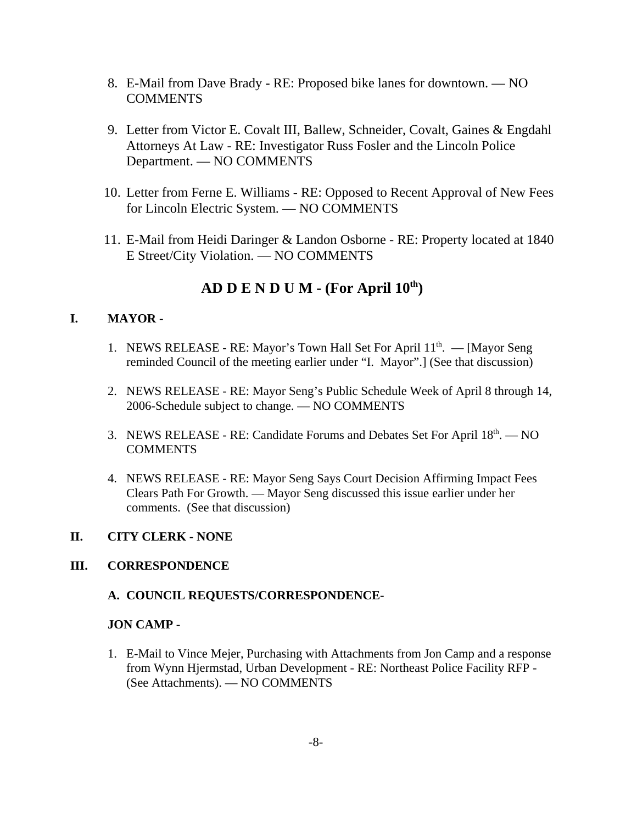- 8. E-Mail from Dave Brady RE: Proposed bike lanes for downtown. NO COMMENTS
- 9. Letter from Victor E. Covalt III, Ballew, Schneider, Covalt, Gaines & Engdahl Attorneys At Law - RE: Investigator Russ Fosler and the Lincoln Police Department. — NO COMMENTS
- 10. Letter from Ferne E. Williams RE: Opposed to Recent Approval of New Fees for Lincoln Electric System. — NO COMMENTS
- 11. E-Mail from Heidi Daringer & Landon Osborne RE: Property located at 1840 E Street/City Violation. — NO COMMENTS

# **AD D E N D U M - (For April**  $10^{th}$ **)**

## **I. MAYOR -**

- 1. NEWS RELEASE RE: Mayor's Town Hall Set For April  $11<sup>th</sup>$ . [Mayor Seng] reminded Council of the meeting earlier under "I. Mayor".] (See that discussion)
- 2. NEWS RELEASE RE: Mayor Seng's Public Schedule Week of April 8 through 14, 2006-Schedule subject to change. — NO COMMENTS
- 3. NEWS RELEASE RE: Candidate Forums and Debates Set For April  $18<sup>th</sup>$ .  $-$  NO **COMMENTS**
- 4. NEWS RELEASE RE: Mayor Seng Says Court Decision Affirming Impact Fees Clears Path For Growth. — Mayor Seng discussed this issue earlier under her comments. (See that discussion)

### **II. CITY CLERK - NONE**

### **III. CORRESPONDENCE**

### **A. COUNCIL REQUESTS/CORRESPONDENCE-**

### **JON CAMP -**

1. E-Mail to Vince Mejer, Purchasing with Attachments from Jon Camp and a response from Wynn Hjermstad, Urban Development - RE: Northeast Police Facility RFP - (See Attachments). — NO COMMENTS